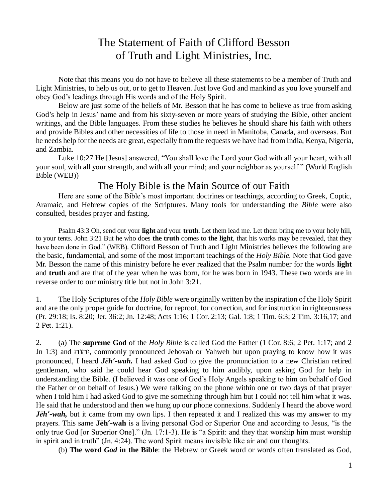# The Statement of Faith of Clifford Besson of Truth and Light Ministries, Inc.

Note that this means you do not have to believe all these statements to be a member of Truth and Light Ministries, to help us out, or to get to Heaven. Just love God and mankind as you love yourself and obey God's leadings through His words and of the Holy Spirit.

Below are just some of the beliefs of Mr. Besson that he has come to believe as true from asking God's help in Jesus' name and from his sixty-seven or more years of studying the Bible, other ancient writings, and the Bible languages. From these studies he believes he should share his faith with others and provide Bibles and other necessities of life to those in need in Manitoba, Canada, and overseas. But he needs help for the needs are great, especially from the requests we have had from India, Kenya, Nigeria, and Zambia.

Luke 10:27 He [Jesus] answered, "You shall love the Lord your God with all your heart, with all your soul, with all your strength, and with all your mind; and your neighbor as yourself." (World English Bible (WEB))

## The Holy Bible is the Main Source of our Faith

Here are some of the Bible's most important doctrines or teachings, according to Greek, Coptic, Aramaic, and Hebrew copies of the Scriptures. Many tools for understanding the *Bible* were also consulted, besides prayer and fasting.

Psalm 43:3 Oh, send out your **light** and your **truth**. Let them lead me. Let them bring me to your holy hill, to your tents. John 3:21 But he who does **the truth** comes to **the light**, that his works may be revealed, that they have been done in God." (WEB). Clifford Besson of Truth and Light Ministries believes the following are the basic, fundamental, and some of the most important teachings of the *Holy Bible*. Note that God gave Mr. Besson the name of this ministry before he ever realized that the Psalm number for the words **light** and **truth** and are that of the year when he was born, for he was born in 1943. These two words are in reverse order to our ministry title but not in John 3:21.

1. The Holy Scriptures of the *Holy Bible* were originally written by the inspiration of the Holy Spirit and are the only proper guide for doctrine, for reproof, for correction, and for instruction in righteousness (Pr. 29:18; Is. 8:20; Jer. 36:2; Jn. 12:48; Acts 1:16; 1 Cor. 2:13; Gal. 1:8; 1 Tim. 6:3; 2 Tim. 3:16,17; and 2 Pet. 1:21).

2. (a) The **supreme God** of the *Holy Bible* is called God the Father (1 Cor. 8:6; 2 Pet. 1:17; and 2 Jn 1:3) and , commonly pronounced Jehovah or Yahweh but upon praying to know how it was pronounced, I heard *Jēh'-wah.* I had asked God to give the pronunciation to a new Christian retired gentleman, who said he could hear God speaking to him audibly, upon asking God for help in understanding the Bible. (I believed it was one of God's Holy Angels speaking to him on behalf of God the Father or on behalf of Jesus.) We were talking on the phone within one or two days of that prayer when I told him I had asked God to give me something through him but I could not tell him what it was. He said that he understood and then we hung up our phone connexions. Suddenly I heard the above word *Jēh'*-wah, but it came from my own lips. I then repeated it and I realized this was my answer to my prayers. This same **Jēh'-wah** is a living personal God or Superior One and according to Jesus, "is the only true God [or Superior One]." (Jn. 17:1-3). He is "a Spirit: and they that worship him must worship in spirit and in truth" (Jn. 4:24). The word Spirit means invisible like air and our thoughts.

(b) **The word** *God* **in the Bible**: the Hebrew or Greek word or words often translated as God,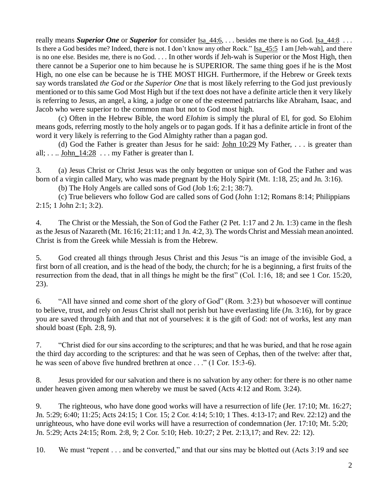really means *Superior One* or *Superior* for consider Isa 44:6, . . . besides me there is no God. Isa 44:8 . . . Is there a God besides me? Indeed, there is not. I don't know any other Rock." Isa\_45:5 I am [Jeh-wah], and there is no one else. Besides me, there is no God. . . . In other words if Jeh-wah is Superior or the Most High, then there cannot be a Superior one to him because he is SUPERIOR. The same thing goes if he is the Most High, no one else can be because he is THE MOST HIGH. Furthermore, if the Hebrew or Greek texts say words translated *the God* or *the Superior One* that is most likely referring to the God just previously mentioned or to this same God Most High but if the text does not have a definite article then it very likely is referring to Jesus, an angel, a king, a judge or one of the esteemed patriarchs like Abraham, Isaac, and Jacob who were superior to the common man but not to God most high.

(c) Often in the Hebrew Bible, the word *Elohim* is simply the plural of El, for god. So Elohim means gods, referring mostly to the holy angels or to pagan gods. If it has a definite article in front of the word it very likely is referring to the God Almighty rather than a pagan god.

(d) God the Father is greater than Jesus for he said: John  $10:29$  My Father, ... is greater than all;  $\dots$  John  $14:28$   $\dots$  my Father is greater than I.

3. (a) Jesus Christ or Christ Jesus was the only begotten or unique son of God the Father and was born of a virgin called Mary, who was made pregnant by the Holy Spirit (Mt. 1:18, 25; and Jn. 3:16).

(b) The Holy Angels are called sons of God (Job 1:6; 2:1; 38:7).

(c) True believers who follow God are called sons of God (John 1:12; Romans 8:14; Philippians 2:15; 1 John 2:1; 3:2).

4. The Christ or the Messiah, the Son of God the Father (2 Pet. 1:17 and 2 Jn. 1:3) came in the flesh as the Jesus of Nazareth (Mt. 16:16; 21:11; and 1 Jn. 4:2, 3). The words Christ and Messiah mean anointed. Christ is from the Greek while Messiah is from the Hebrew.

5. God created all things through Jesus Christ and this Jesus "is an image of the invisible God, a first born of all creation, and is the head of the body, the church; for he is a beginning, a first fruits of the resurrection from the dead, that in all things he might be the first" (Col. 1:16, 18; and see 1 Cor. 15:20, 23).

6. "All have sinned and come short of the glory of God" (Rom. 3:23) but whosoever will continue to believe, trust, and rely on Jesus Christ shall not perish but have everlasting life (Jn. 3:16), for by grace you are saved through faith and that not of yourselves: it is the gift of God: not of works, lest any man should boast (Eph. 2:8, 9).

7. "Christ died for our sins according to the scriptures; and that he was buried, and that he rose again the third day according to the scriptures: and that he was seen of Cephas, then of the twelve: after that, he was seen of above five hundred brethren at once . . ." (1 Cor. 15:3-6).

8. Jesus provided for our salvation and there is no salvation by any other: for there is no other name under heaven given among men whereby we must be saved (Acts 4:12 and Rom. 3:24).

9. The righteous, who have done good works will have a resurrection of life (Jer. 17:10; Mt. 16:27; Jn. 5:29; 6:40; 11:25; Acts 24:15; 1 Cor. 15; 2 Cor. 4:14; 5:10; 1 Thes. 4:13-17; and Rev. 22:12) and the unrighteous, who have done evil works will have a resurrection of condemnation (Jer. 17:10; Mt. 5:20; Jn. 5:29; Acts 24:15; Rom. 2:8, 9; 2 Cor. 5:10; Heb. 10:27; 2 Pet. 2:13,17; and Rev. 22: 12).

10. We must "repent . . . and be converted," and that our sins may be blotted out (Acts 3:19 and see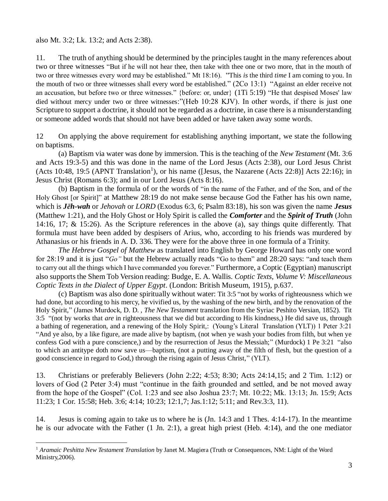## also Mt. 3:2; Lk. 13:2; and Acts 2:38).

 $\overline{a}$ 

11. The truth of anything should be determined by the principles taught in the many references about two or three witnesses "But if he will not hear thee, then take with thee one or two more, that in the mouth of two or three witnesses every word may be established." Mt 18:16). "This *is* the third *time* I am coming to you. In the mouth of two or three witnesses shall every word be established." (2Co 13:1) "Against an elder receive not an accusation, but before two or three witnesses." {before: or, under} (1Ti 5:19) "He that despised Moses' law died without mercy under two or three witnesses:"(Heb 10:28 KJV). In other words, if there is just one Scripture to support a doctrine, it should not be regarded as a doctrine, in case there is a misunderstanding or someone added words that should not have been added or have taken away some words.

12 On applying the above requirement for establishing anything important, we state the following on baptisms.

(a) Baptism via water was done by immersion. This is the teaching of the *New Testament* (Mt. 3:6 and Acts 19:3-5) and this was done in the name of the Lord Jesus (Acts 2:38), our Lord Jesus Christ  $( \text{Acts } 10:48, 19:5 \text{ (APNT Translation)}), \text{ or his name } ([ \text{Jesus, the Nazarene } (\text{Acts } 22:8) ] \text{ Acts } 22:16); \text{ in }$ Jesus Christ (Romans 6:3); and in our Lord Jesus (Acts 8:16).

(b) Baptism in the formula of or the words of "in the name of the Father, and of the Son, and of the Holy Ghost [or Spirit]" at Matthew 28:19 do not make sense because God the Father has his own name, which is *Jēh-wah* or *Jehovah* or *LORD* (Exodus 6:3, 6; Psalm 83:18), his son was given the name *Jesus* (Matthew 1:21), and the Holy Ghost or Holy Spirit is called the *Comforter* and the *Spirit of Truth* (John 14:16, 17; & 15:26). As the Scripture references in the above (a), say things quite differently. That formula must have been added by despisers of Arius, who, according to his friends was murdered by Athanasius or his friends in A. D. 336. They were for the above three in one formula of a Trinity.

*The Hebrew Gospel of Matthew* as translated into English by George Howard has only one word for 28:19 and it is just "*Go"* but the Hebrew actually reads "Go to them" and 28:20 says: "and teach them to carry out all the things which I have commanded you forever." Furthermore, a Coptic (Egyptian) manuscript also supports the Shem Tob Version reading: Budge, E. A. Wallis. *Coptic Texts, Volume V: Miscellaneous Coptic Texts in the Dialect of Upper Egypt*. (London: British Museum, 1915), p.637.

(c) Baptism was also done spiritually without water: Tit 3:5 "not by works of righteousness which we had done, but according to his mercy, he vivified us, by the washing of the new birth, and by the renovation of the Holy Spirit," (James Murdock, D. D. , *The New Testament* translation from the Syriac Peshito Versian, 1852). Tit 3:5 "(not by works that *are* in righteousness that we did but according to His kindness,) He did save us, through a bathing of regeneration, and a renewing of the Holy Spirit,: (Young's Literal Translation (YLT)) 1 Peter 3:21 "And ye also, by a like figure, are made alive by baptism, (not when ye wash your bodies from filth, but when ye confess God with a pure conscience,) and by the resurrection of Jesus the Messiah;" (Murdock) 1 Pe 3:21 "also to which an antitype doth now save us—baptism, (not a putting away of the filth of flesh, but the question of a good conscience in regard to God,) through the rising again of Jesus Christ," (YLT).

13. Christians or preferably Believers (John 2:22; 4:53; 8:30; Acts 24:14,15; and 2 Tim. 1:12) or lovers of God (2 Peter 3:4) must "continue in the faith grounded and settled, and be not moved away from the hope of the Gospel" (Col. 1:23 and see also Joshua 23:7; Mt. 10:22; Mk. 13:13; Jn. 15:9; Acts 11:23; 1 Cor. 15:58; Heb. 3:6; 4:14; 10:23; 12:1,7; Jas.1:12; 5:11; and Rev.3:3, 11).

14. Jesus is coming again to take us to where he is (Jn. 14:3 and 1 Thes. 4:14-17). In the meantime he is our advocate with the Father (1 Jn. 2:1), a great high priest (Heb. 4:14), and the one mediator

<sup>1</sup> *Aramaic Peshitta New Testament Translation* by Janet M. Magiera (Truth or Consequences, NM: Light of the Word Ministry,2006).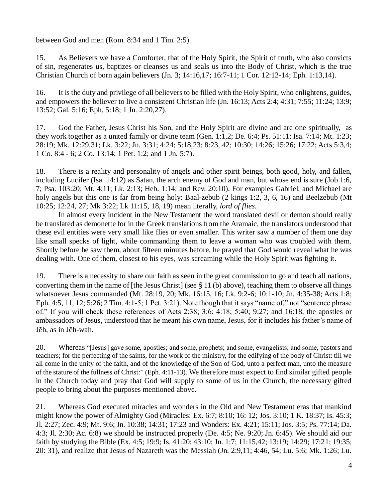between God and men (Rom. 8:34 and 1 Tim. 2:5).

15. As Believers we have a Comforter, that of the Holy Spirit, the Spirit of truth, who also convicts of sin, regenerates us, baptizes or cleanses us and seals us into the Body of Christ, which is the true Christian Church of born again believers (Jn. 3; 14:16,17; 16:7-11; 1 Cor. 12:12-14; Eph. 1:13,14).

16. It is the duty and privilege of all believers to be filled with the Holy Spirit, who enlightens, guides, and empowers the believer to live a consistent Christian life (Jn. 16:13; Acts 2:4; 4:31; 7:55; 11:24; 13:9; 13:52; Gal. 5:16; Eph. 5:18; 1 Jn. 2:20,27).

17. God the Father, Jesus Christ his Son, and the Holy Spirit are divine and are one spiritually, as they work together as a united family or divine team (Gen. 1:1,2; De. 6:4; Ps. 51:11; Isa. 7:14; Mt. 1:23; 28:19; Mk. 12:29,31; Lk. 3:22; Jn. 3:31; 4:24; 5:18,23; 8:23, 42; 10:30; 14:26; 15:26; 17:22; Acts 5:3,4; 1 Co. 8:4 - 6; 2 Co. 13:14; 1 Pet. 1:2; and 1 Jn. 5:7).

18. There is a reality and personality of angels and other spirit beings, both good, holy, and fallen, including Lucifer (Isa. 14:12) as Satan, the arch enemy of God and man, but whose end is sure (Job 1:6, 7; Psa. 103:20; Mt. 4:11; Lk. 2:13; Heb. 1:14; and Rev. 20:10). For examples Gabriel, and Michael are holy angels but this one is far from being holy: Baal-zebub (2 kings 1:2, 3, 6, 16) and Beelzebub (Mt 10:25; 12:24, 27; Mk 3:22; Lk 11:15, 18, 19) mean literally, *lord of flies*.

In almost every incident in the New Testament the word translated devil or demon should really be translated as demonette for in the Greek translations from the Aramaic, the translators understood that these evil entities were very small like flies or even smaller. This writer saw a number of them one day like small specks of light, while commanding them to leave a woman who was troubled with them. Shortly before he saw them, about fifteen minutes before, he prayed that God would reveal what he was dealing with. One of them, closest to his eyes, was screaming while the Holy Spirit was fighting it.

19. There is a necessity to share our faith as seen in the great commission to go and teach all nations, converting them in the name of [the Jesus Christ] (see § 11 (b) above), teaching them to observe all things whatsoever Jesus commanded (Mt. 28:19, 20; Mk. 16:15, 16; Lk. 9:2-6; 10:1-10; Jn. 4:35-38; Acts 1:8; Eph. 4:5, 11, 12; 5:26; 2 Tim. 4:1-5; 1 Pet. 3:21). Note though that it says "name of," not "sentence phrase of." If you will check these references of Acts 2:38; 3:6; 4:18; 5:40; 9:27; and 16:18, the apostles or ambassadors of Jesus, understood that he meant his own name, Jesus, for it includes his father's name of Jēh, as in Jēh-wah.

20. Whereas "[Jesus] gave some, apostles; and some, prophets; and some, evangelists; and some, pastors and teachers; for the perfecting of the saints, for the work of the ministry, for the edifying of the body of Christ: till we all come in the unity of the faith, and of the knowledge of the Son of God, unto a perfect man, unto the measure of the stature of the fullness of Christ:" (Eph. 4:11-13). We therefore must expect to find similar gifted people in the Church today and pray that God will supply to some of us in the Church, the necessary gifted people to bring about the purposes mentioned above.

21. Whereas God executed miracles and wonders in the Old and New Testament eras that mankind might know the power of Almighty God (Miracles: Ex. 6:7; 8:10; 16: 12; Jos. 3:10; 1 K. 18:37; Is. 45:3; Jl. 2:27; Zec. 4:9; Mt. 9:6; Jn. 10:38; 14:31; 17:23 and Wonders: Ex. 4:21; 15:11; Jos. 3:5; Ps. 77:14; Da. 4:3; Jl. 2:30; Ac. 6:8) we should be instructed properly (De. 4:5; Ne. 9:20; Jn. 6:45). We should aid our faith by studying the Bible (Ex. 4:5; 19:9; Is. 41:20; 43:10; Jn. 1:7; 11:15,42; 13:19; 14:29; 17:21; 19:35; 20: 31), and realize that Jesus of Nazareth was the Messiah (Jn. 2:9,11; 4:46, 54; Lu. 5:6; Mk. 1:26; Lu.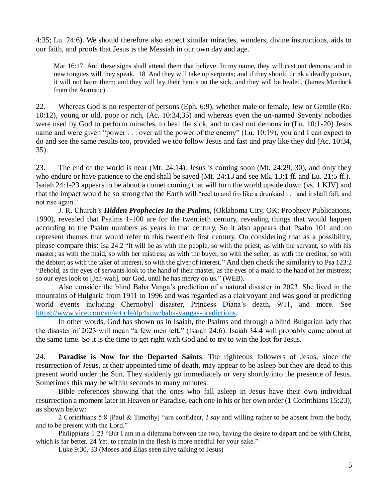4:35; Lu. 24:6). We should therefore also expect similar miracles, wonders, divine instructions, aids to our faith, and proofs that Jesus is the Messiah in our own day and age.

Mar 16:17 And these signs shall attend them that believe: In my name, they will cast out demons; and in new tongues will they speak. 18 And they will take up serpents; and if they should drink a deadly poison, it will not harm them; and they will lay their hands on the sick, and they will be healed. (James Murdock from the Aramaic)

22. Whereas God is no respecter of persons (Eph. 6:9), whether male or female, Jew or Gentile (Ro. 10:12), young or old, poor or rich, (Ac. 10:34,35) and whereas even the un-named Seventy nobodies were used by God to perform miracles, to heal the sick, and to cast out demons in (Lu. 10:1-20) Jesus name and were given "power . . . over all the power of the enemy" (Lu. 10:19), you and I can expect to do and see the same results too, provided we too follow Jesus and fast and pray like they did (Ac. 10:34, 35).

23. The end of the world is near (Mt. 24:14), Jesus is coming soon (Mt. 24:29, 30), and only they who endure or have patience to the end shall be saved (Mt. 24:13 and see Mk. 13:1 ff. and Lu. 21:5 ff.). Isaiah 24:1-23 appears to be about a comet coming that will turn the world upside down (vs. 1 KJV) and that the impact would be so strong that the Earth will "reel to and fro like a drunkard . . . and it shall fall, and not rise again."

J. R. Church's *Hidden Prophecies In the Psalms*, (Oklahoma City, OK: Prophecy Publications, 1990), revealed that Psalms 1-100 are for the twentieth century, revealing things that would happen according to the Psalm numbers as years in that century. So it also appears that Psalm 101 and on represent themes that would refer to this twentieth first century. On considering that as a possibility, please compare this: Isa 24:2 "It will be as with the people, so with the priest; as with the servant, so with his master; as with the maid, so with her mistress; as with the buyer, so with the seller; as with the creditor, so with the debtor; as with the taker of interest, so with the giver of interest." And then check the similarity to Psa 123:2 "Behold, as the eyes of servants look to the hand of their master, as the eyes of a maid to the hand of her mistress; so our eyes look to [Jeh-wah], our God, until he has mercy on us." (WEB).

Also consider the blind Baba Vanga's prediction of a natural disaster in 2023. She lived in the mountains of Bulgaria from 1911 to 1996 and was regarded as a clairvoyant and was good at predicting world events including Chernobyl disaster, Princess Diana's death, 9/11, and more. See [https://www.vice.com/en/article/dp4xpw/baba-vangas-predictions.](https://www.vice.com/en/article/dp4xpw/baba-vangas-predictions)

In other words, God has shown us in Isaiah, the Psalms and through a blind Bulgarian lady that the disaster of 2023 will mean "a few men left." (Isaiah 24:6). Isaiah 34:4 will probably come about at the same time. So it is the time to get right with God and to try to win the lost for Jesus.

24. **Paradise is Now for the Departed Saints**: The righteous followers of Jesus, since the resurrection of Jesus, at their appointed time of death, may appear to be asleep but they are dead to this present world under the Sun. They suddenly go immediately or very shortly into the presence of Jesus. Sometimes this may be within seconds to many minutes.

Bible references showing that the ones who fall asleep in Jesus have their own individual resurrection a moment later in Heaven or Paradise, each one in his or her own order (1 Corinthians 15:23), as shown below:

2 Corinthians 5:8 [Paul & Timothy] "are confident, *I say* and willing rather to be absent from the body, and to be present with the Lord."

Philippians 1:23 "But I am in a dilemma between the two, having the desire to depart and be with Christ, which is far better. 24 Yet, to remain in the flesh is more needful for your sake."

Luke 9:30, 33 (Moses and Elias seen alive talking to Jesus)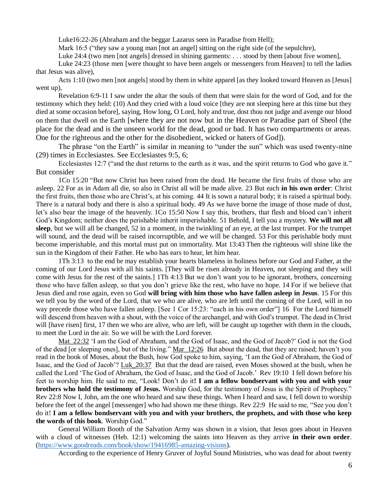Luke16:22-26 (Abraham and the beggar Lazarus seen in Paradise from Hell);

Mark 16:5 ("they saw a young man [not an angel] sitting on the right side (of the sepulchre),

Luke 24:4 (two men [not angels] dressed in shining garments: . . . stood by them [about five women],

Luke 24:23 (those men [were thought to have been angels or messengers from Heaven] to tell the ladies that Jesus was alive),

Acts 1:10 (two men [not angels] stood by them in white apparel [as they looked toward Heaven as [Jesus] went up),

Revelation 6:9-11 I saw under the altar the souls of them that were slain for the word of God, and for the testimony which they held: (10) And they cried with a loud voice [they are not sleeping here at this time but they died at some occasion before], saying, How long, O Lord, holy and true, dost thou not judge and avenge our blood on them that dwell on the Earth [where they are not now but in the Heaven or Paradise part of Sheol (the place for the dead and is the unseen world for the dead, good or bad. It has two compartments or areas. One for the righteous and the other for the disobedient, wicked or haters of God]).

The phrase "on the Earth" is similar in meaning to "under the sun" which was used twenty-nine (29) times in Ecclesiastes. See Ecclesiastes 9:5, 6;

Ecclesiastes 12:7 ("and the dust returns to the earth as it was, and the spirit returns to God who gave it." But consider

1Co 15:20 "But now Christ has been raised from the dead. He became the first fruits of those who are asleep. 22 For as in Adam all die, so also in Christ all will be made alive. 23 But each **in his own order**: Christ the first fruits, then those who are Christ's, at his coming. 44 It is sown a natural body; it is raised a spiritual body. There is a natural body and there is also a spiritual body. 49 As we have borne the image of those made of dust, let's also bear the image of the heavenly. 1Co 15:50 Now I say this, brothers, that flesh and blood can't inherit God's Kingdom; neither does the perishable inherit imperishable. 51 Behold, I tell you a mystery. **We will not all sleep**, but we will all be changed, 52 in a moment, in the twinkling of an eye, at the last trumpet. For the trumpet will sound, and the dead will be raised incorruptible, and we will be changed. 53 For this perishable body must become imperishable, and this mortal must put on immortality. Mat 13:43 Then the righteous will shine like the sun in the Kingdom of their Father. He who has ears to hear, let him hear.

1Th 3:13 to the end he may establish your hearts blameless in holiness before our God and Father, at the coming of our Lord Jesus with all his saints. [They will be risen already in Heaven, not sleeping and they will come with Jesus for the rest of the saints.] 1Th 4:13 But we don't want you to be ignorant, brothers, concerning those who have fallen asleep, so that you don't grieve like the rest, who have no hope. 14 For if we believe that Jesus died and rose again, even so God **will bring with him those who have fallen asleep in Jesus**. 15 For this we tell you by the word of the Lord, that we who are alive, who are left until the coming of the Lord, will in no way precede those who have fallen asleep. [See 1 Cor 15:23: "each in his own order"] 16 For the Lord himself will descend from heaven with a shout, with the voice of the archangel, and with God's trumpet. The dead in Christ will [have risen] first, 17 then we who are alive, who are left, will be caught up together with them in the clouds, to meet the Lord in the air. So we will be with the Lord forever.

Mat\_22:32 'I am the God of Abraham, and the God of Isaac, and the God of Jacob?' God is not the God of the dead [or sleeping ones], but of the living." Mar\_12:26 But about the dead, that they are raised; haven't you read in the book of Moses, about the Bush, how God spoke to him, saying, 'I am the God of Abraham, the God of Isaac, and the God of Jacob'? Luk\_20:37 But that the dead are raised, even Moses showed at the bush, when he called the Lord 'The God of Abraham, the God of Isaac, and the God of Jacob.' Rev 19:10 I fell down before his feet to worship him. He said to me, "Look! Don't do it**! I am a fellow bondservant with you and with your brothers who hold the testimony of Jesus.** Worship God, for the testimony of Jesus is the Spirit of Prophecy." Rev 22:8 Now I, John, am the one who heard and saw these things. When I heard and saw, I fell down to worship before the feet of the angel [messenger] who had shown me these things. Rev 22:9 He said to me, "See you don't do it! **I am a fellow bondservant with you and with your brothers, the prophets, and with those who keep the words of this book**. Worship God."

General William Booth of the Salvation Army was shown in a vision, that Jesus goes about in Heaven with a cloud of witnesses (Heb. 12:1) welcoming the saints into Heaven as they arrive **in their own order**. [\(https://www.goodreads.com/book/show/19416985-amazing-visions\)](https://www.goodreads.com/book/show/19416985-amazing-visions).

According to the experience of Henry Gruver of Joyful Sound Ministries, who was dead for about twenty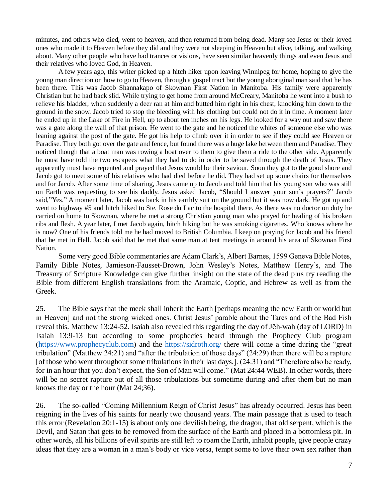minutes, and others who died, went to heaven, and then returned from being dead. Many see Jesus or their loved ones who made it to Heaven before they did and they were not sleeping in Heaven but alive, talking, and walking about. Many other people who have had trances or visions, have seen similar heavenly things and even Jesus and their relatives who loved God, in Heaven.

A few years ago, this writer picked up a hitch hiker upon leaving Winnipeg for home, hoping to give the young man direction on how to go to Heaven, through a gospel tract but the young aboriginal man said that he has been there. This was Jacob Shannakapo of Skownan First Nation in Manitoba. His family were apparently Christian but he had back slid. While trying to get home from around McCreary, Manitoba he went into a bush to relieve his bladder, when suddenly a deer ran at him and butted him right in his chest, knocking him down to the ground in the snow. Jacob tried to stop the bleeding with his clothing but could not do it in time. A moment later he ended up in the Lake of Fire in Hell, up to about ten inches on his legs. He looked for a way out and saw there was a gate along the wall of that prison. He went to the gate and he noticed the whites of someone else who was leaning against the post of the gate. He got his help to climb over it in order to see if they could see Heaven or Paradise. They both got over the gate and fence, but found there was a huge lake between them and Paradise. They noticed though that a boat man was rowing a boat over to them to give them a ride to the other side. Apparently he must have told the two escapees what they had to do in order to be saved through the death of Jesus. They apparently must have repented and prayed that Jesus would be their saviour. Soon they got to the good shore and Jacob got to meet some of his relatives who had died before he did. They had set up some chairs for themselves and for Jacob. After some time of sharing, Jesus came up to Jacob and told him that his young son who was still on Earth was requesting to see his daddy. Jesus asked Jacob, "Should I answer your son's prayers?" Jacob said,"Yes." A moment later, Jacob was back in his earthly suit on the ground but it was now dark. He got up and went to highway #5 and hitch hiked to Ste. Rose du Lac to the hospital there. As there was no doctor on duty he carried on home to Skownan, where he met a strong Christian young man who prayed for healing of his broken ribs and flesh. A year later, I met Jacob again, hitch hiking but he was smoking cigarettes. Who knows where he is now? One of his friends told me he had moved to British Columbia. I keep on praying for Jacob and his friend that he met in Hell. Jacob said that he met that same man at tent meetings in around his area of Skownan First Nation.

Some very good Bible commentaries are Adam Clark's, Albert Barnes, 1599 Geneva Bible Notes, Family Bible Notes, Jamieson-Fausset-Brown, John Wesley's Notes, Matthew Henry's, and The Treasury of Scripture Knowledge can give further insight on the state of the dead plus try reading the Bible from different English translations from the Aramaic, Coptic, and Hebrew as well as from the Greek.

25. The Bible says that the meek shall inherit the Earth [perhaps meaning the new Earth or world but in Heaven] and not the strong wicked ones. Christ Jesus' parable about the Tares and of the Bad Fish reveal this. Matthew 13:24-52. Isaiah also revealed this regarding the day of Jēh-wah (day of LORD) in Isaiah 13:9-13 but according to some prophecies heard through the Prophecy Club program [\(https://www.prophecyclub.com\)](https://www.prophecyclub.com/) and the<https://sidroth.org/> there will come a time during the "great tribulation" (Matthew 24:21) and "after the tribulation of those days" (24:29) then there will be a rapture [of those who went throughout some tribulations in their last days.]. (24:31) and "Therefore also be ready, for in an hour that you don't expect, the Son of Man will come." (Mat 24:44 WEB). In other words, there will be no secret rapture out of all those tribulations but sometime during and after them but no man knows the day or the hour (Mat 24;36).

26. The so-called "Coming Millennium Reign of Christ Jesus" has already occurred. Jesus has been reigning in the lives of his saints for nearly two thousand years. The main passage that is used to teach this error (Revelation 20:1-15) is about only one devilish being, the dragon, that old serpent, which is the Devil, and Satan that gets to be removed from the surface of the Earth and placed in a bottomless pit. In other words, all his billions of evil spirits are still left to roam the Earth, inhabit people, give people crazy ideas that they are a woman in a man's body or vice versa, tempt some to love their own sex rather than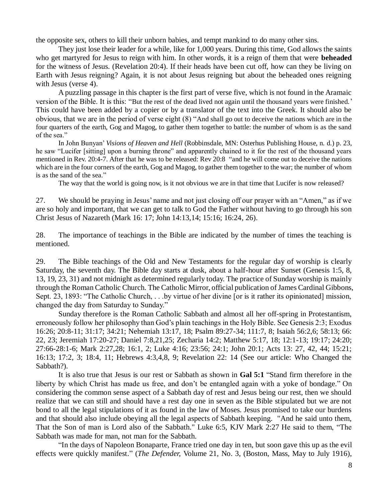the opposite sex, others to kill their unborn babies, and tempt mankind to do many other sins.

They just lose their leader for a while, like for 1,000 years. During this time, God allows the saints who get martyred for Jesus to reign with him. In other words, it is a reign of them that were **beheaded** for the witness of Jesus. (Revelation 20:4). If their heads have been cut off, how can they be living on Earth with Jesus reigning? Again, it is not about Jesus reigning but about the beheaded ones reigning with Jesus (verse 4).

A puzzling passage in this chapter is the first part of verse five, which is not found in the Aramaic version of the Bible. It is this: "But the rest of the dead lived not again until the thousand years were finished.' This could have been added by a copier or by a translator of the text into the Greek. It should also be obvious, that we are in the period of verse eight (8) "And shall go out to deceive the nations which are in the four quarters of the earth, Gog and Magog, to gather them together to battle: the number of whom is as the sand of the sea."

In John Bunyan' *Visions of Heaven and Hell* (Robbinsdale, MN: Osterhus Publishing House, n. d.) p. 23, he saw "Lucifer [sitting] upon a burning throne" and apparently chained to it for the rest of the thousand years mentioned in Rev. 20:4-7. After that he was to be released: Rev 20:8 "and he will come out to deceive the nations which are in the four corners of the earth, Gog and Magog, to gather them together to the war; the number of whom is as the sand of the sea."

The way that the world is going now, is it not obvious we are in that time that Lucifer is now released?

27. We should be praying in Jesus' name and not just closing off our prayer with an "Amen," as if we are so holy and important, that we can get to talk to God the Father without having to go through his son Christ Jesus of Nazareth (Mark 16: 17; John 14:13,14; 15:16; 16:24, 26).

28. The importance of teachings in the Bible are indicated by the number of times the teaching is mentioned.

29. The Bible teachings of the Old and New Testaments for the regular day of worship is clearly Saturday, the seventh day. The Bible day starts at dusk, about a half-hour after Sunset (Genesis 1:5, 8, 13, 19, 23, 31) and not midnight as determined regularly today. The practice of Sunday worship is mainly through the Roman Catholic Church. The Catholic Mirror, official publication of James Cardinal Gibbons, Sept. 23, 1893: "The Catholic Church, . . .by virtue of her divine [or is it rather its opinionated] mission, changed the day from Saturday to Sunday."

Sunday therefore is the Roman Catholic Sabbath and almost all her off-spring in Protestantism, erroneously follow her philosophy than God's plain teachings in the Holy Bible. See Genesis 2:3; Exodus 16:26; 20:8-11; 31:17; 34:21; Nehemiah 13:17, 18; Psalm 89:27-34; 111:7, 8; Isaiah 56:2,6; 58:13; 66: 22, 23; Jeremiah 17:20-27; Daniel 7:8,21,25; Zecharia 14:2; Matthew 5:17, 18; 12:1-13; 19:17; 24:20; 27:66-28:1-6; Mark 2:27,28; 16:1, 2; Luke 4:16; 23:56; 24:1; John 20:1; Acts 13: 27, 42, 44; 15:21; 16:13; 17:2, 3; 18:4, 11; Hebrews 4:3,4,8, 9; Revelation 22: 14 (See our article: Who Changed the Sabbath?).

It is also true that Jesus is our rest or Sabbath as shown in **Gal 5:1** "Stand firm therefore in the liberty by which Christ has made us free, and don't be entangled again with a yoke of bondage." On considering the common sense aspect of a Sabbath day of rest and Jesus being our rest, then we should realize that we can still and should have a rest day one in seven as the Bible stipulated but we are not bond to all the legal stipulations of it as found in the law of Moses. Jesus promised to take our burdens and that should also include obeying all the legal aspects of Sabbath keeping. "And he said unto them, That the Son of man is Lord also of the Sabbath." Luke 6:5, KJV Mark 2:27 He said to them, "The Sabbath was made for man, not man for the Sabbath.

"In the days of Napoleon Bonaparte, France tried one day in ten, but soon gave this up as the evil effects were quickly manifest." (*The Defender,* Volume 21, No. 3, (Boston, Mass, May to July 1916),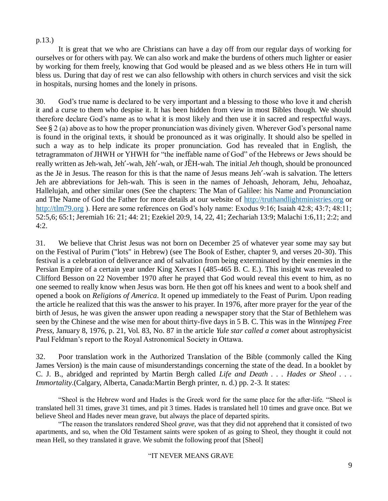## p.13.)

It is great that we who are Christians can have a day off from our regular days of working for ourselves or for others with pay. We can also work and make the burdens of others much lighter or easier by working for them freely, knowing that God would be pleased and as we bless others He in turn will bless us. During that day of rest we can also fellowship with others in church services and visit the sick in hospitals, nursing homes and the lonely in prisons.

30. God's true name is declared to be very important and a blessing to those who love it and cherish it and a curse to them who despise it. It has been hidden from view in most Bibles though. We should therefore declare God's name as to what it is most likely and then use it in sacred and respectful ways. See § 2 (a) above as to how the proper pronunciation was divinely given. Wherever God's personal name is found in the original texts, it should be pronounced as it was originally. It should also be spelled in such a way as to help indicate its proper pronunciation. God has revealed that in English, the tetragrammaton of JHWH or YHWH for "the ineffable name of God" of the Hebrews or Jews should be really written as Jeh-wah, Jeh'-wah, Jēh'-wah, or JĒH-wah. The initial *Jeh* though, should be pronounced as the Jē in Jesus. The reason for this is that the name of Jesus means Jeh'-wah is salvation. The letters Jeh are abbreviations for Jeh-wah. This is seen in the names of Jehoash, Jehoram, Jehu, Jehoahaz, Hallelujah, and other similar ones (See the chapters: The Man of Galilee: his Name and Pronunciation and The Name of God the Father for more details at our website of [http://truthandlightministries.org](http://truthandlightministries.org/) or [http://tlm79.org](http://tlm79.org/) ). Here are some references on God's holy name: Exodus 9:16; Isaiah 42:8; 43:7; 48:11; 52:5,6; 65:1; Jeremiah 16: 21; 44: 21; Ezekiel 20:9, 14, 22, 41; Zechariah 13:9; Malachi 1:6,11; 2:2; and 4:2.

31. We believe that Christ Jesus was not born on December 25 of whatever year some may say but on the Festival of Purim ("lots" in Hebrew) (see The Book of Esther, chapter 9, and verses 20-30). This festival is a celebration of deliverance and of salvation from being exterminated by their enemies in the Persian Empire of a certain year under King Xerxes I (485-465 B. C. E.). This insight was revealed to Clifford Besson on 22 November 1970 after he prayed that God would reveal this event to him, as no one seemed to really know when Jesus was born. He then got off his knees and went to a book shelf and opened a book on *Religions of America*. It opened up immediately to the Feast of Purim. Upon reading the article he realized that this was the answer to his prayer. In 1976, after more prayer for the year of the birth of Jesus, he was given the answer upon reading a newspaper story that the Star of Bethlehem was seen by the Chinese and the wise men for about thirty-five days in 5 B. C. This was in the *Winnipeg Free Press,* January 8, 1976, p. 21, Vol. 83, No. 87 in the article *Yule star called a comet* about astrophysicist Paul Feldman's report to the Royal Astronomical Society in Ottawa.

32. Poor translation work in the Authorized Translation of the Bible (commonly called the King James Version) is the main cause of misunderstandings concerning the state of the dead. In a booklet by C. J. B., abridged and reprinted by Martin Bergh called *Life and Death . . . Hades or Sheol . . . Immortality*.(Calgary, Alberta, Canada:Martin Bergh printer, n. d.) pp. 2-3. It states:

"Sheol is the Hebrew word and Hades is the Greek word for the same place for the after-life. "Sheol is translated hell 31 times, grave 31 times, and pit 3 times. Hades is translated hell 10 times and grave once. But we believe Sheol and Hades never mean grave, but always the place of departed spirits.

"The reason the translators rendered Sheol *grave*, was that they did not apprehend that it consisted of two apartments, and so, when the Old Testament saints were spoken of as going to Sheol, they thought it could not mean Hell, so they translated it grave. We submit the following proof that [Sheol]